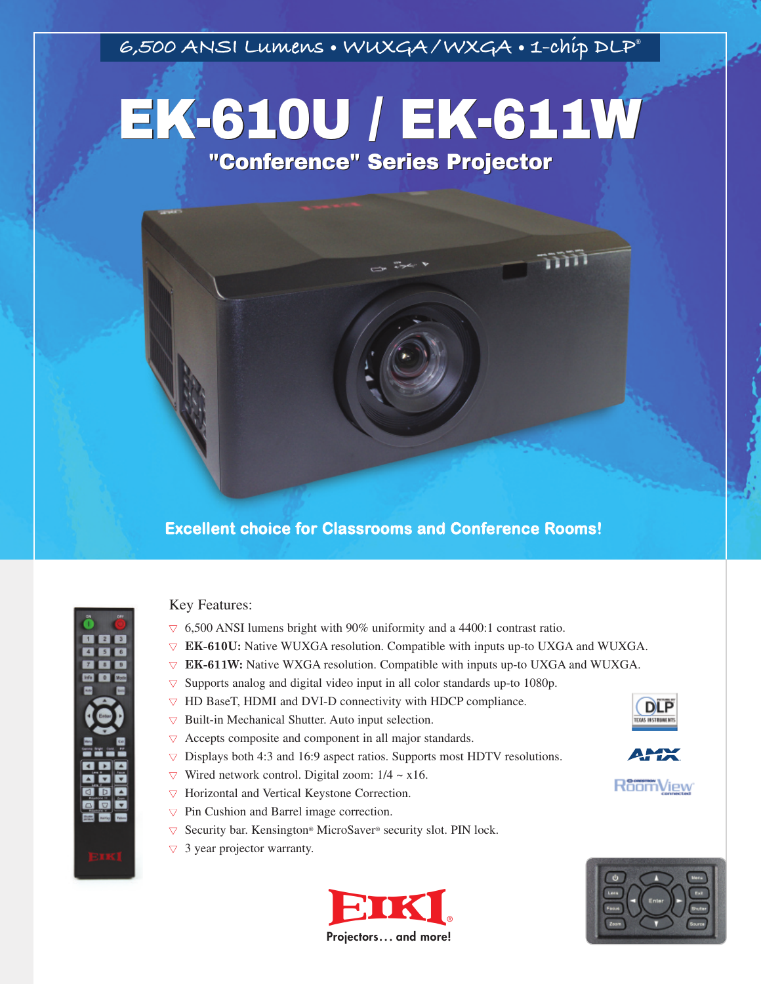**6,500 ANSI Lumens • WUXGA /WXGA • 1-chip DLP®**

# EK-610U / EK-611W EK-610U / EK-611W"Conference" Series Projector"Conference" Series Projector



# **Excellent choice for Classrooms and Conference Rooms!**



## Key Features:

- **▼** 6,500 ANSI lumens bright with 90% uniformity and a 4400:1 contrast ratio.
- **▼ EK-610U:** Native WUXGA resolution. Compatible with inputs up-to UXGA and WUXGA.
- $\nabla$  **EK-611W:** Native WXGA resolution. Compatible with inputs up-to UXGA and WUXGA.
- **▼** Supports analog and digital video input in all color standards up-to 1080p.
- **▼** HD BaseT, HDMI and DVI-D connectivity with HDCP compliance.
- **▼** Built-in Mechanical Shutter. Auto input selection.
- **▼** Accepts composite and component in all major standards.
- **▼** Displays both 4:3 and 16:9 aspect ratios. Supports most HDTV resolutions.
- $\nabla$  Wired network control. Digital zoom:  $1/4 \sim x16$ .
- **▼** Horizontal and Vertical Keystone Correction.
- **▼** Pin Cushion and Barrel image correction.
- **▼** Security bar. Kensington® MicroSaver® security slot. PIN lock.
- **▼** 3 year projector warranty.